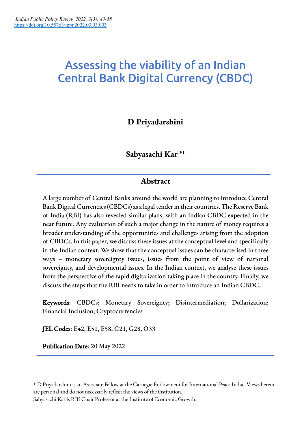# Assessing the viability of an Indian Central Bank Digital Currency (CBDC)

# **D Priyadarshini**

**Sabyasachi Kar \*1**

# **Abstract**

A large number of Central Banks around the world are planning to introduce Central Bank Digital Currencies (CBDCs) as a legal tender in their countries. The Reserve Bank of India (RBI) has also revealed similar plans, with an Indian CBDC expected in the near future. Any evaluation of such a major change in the nature of money requires a broader understanding of the opportunities and challenges arising from the adoption of CBDCs. In this paper, we discuss these issues at the conceptual level and specifically in the Indian context. We show that the conceptual issues can be characterised in three ways – monetary sovereignty issues, issues from the point of view of national sovereignty, and developmental issues. In the Indian context, we analyse these issues from the perspective of the rapid digitalization taking place in the country. Finally, we discuss the steps that the RBI needs to take in order to introduce an Indian CBDC.

Keywords: CBDCs; Monetary Sovereignty; Disintermediation; Dollarization; Financial Inclusion; Cryptocurrencies

JEL Codes: E42, E51, E58, G21, G28, O33

Publication Date: 20 May 2022

Sabyasachi Kar is RBI Chair Professor at the Institute of Economic Growth.

<sup>\*</sup> D Priyadarshini is an Associate Fellow at the Carnegie Endowment for International Peace India. Views herein are personal and do not necessarily reflect the views of the institution.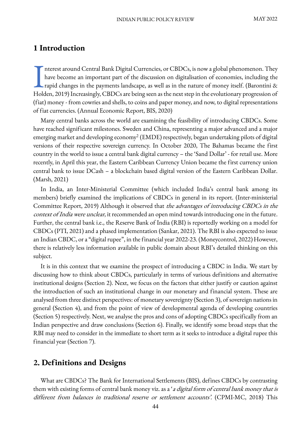# **1 Introduction**

nterest around Central Bank Digital Currencies, or CBDCs, is now a global phenomenon. They have become an important part of the discussion on digitalisation of economies, including the rapid changes in the payments landscape, as well as in the nature of money itself. (Barontini  $\&$ Interest around Central Bank Digital Currencies, or CBDCs, is now a global phenomenon. They<br>have become an important part of the discussion on digitalisation of economies, including the<br>rapid changes in the payments landsc (fiat) money - from cowries and shells, to coins and paper money, and now, to digital representations of fiat currencies. (Annual Economic Report, BIS, 2020)

Many central banks across the world are examining the feasibility of introducing CBDCs. Some have reached significant milestones. Sweden and China, representing a major advanced and a major emerging market and developing economy<sup>2</sup> (EMDE) respectively, began undertaking pilots of digital versions of their respective sovereign currency. In October 2020, The Bahamas became the first country in the world to issue a central bank digital currency – the 'Sand Dollar' - for retail use. More recently, in April this year, the Eastern Caribbean Currency Union became the first currency union central bank to issue DCash – a blockchain based digital version of the Eastern Caribbean Dollar. (Marsh, 2021)

In India, an Inter-Ministerial Committee (which included India's central bank among its members) briefly examined the implications of CBDCs in general in its report. (Inter-ministerial Committee Report, 2019) Although it observed that the advantages of introducing CBDCs in the context of India were unclear, it recommended an open mind towards introducing one in the future. Further, the central bank i.e., the Reserve Bank of India (RBI) is reportedly working on a model for CBDCs (PTI, 2021) and a phased implementation (Sankar, 2021). The RBI is also expected to issue an Indian CBDC, or a "digital rupee", in the financial year 2022-23. (Moneycontrol, 2022) However, there is relatively less information available in public domain about RBI's detailed thinking on this subject.

It is in this context that we examine the prospect of introducing a CBDC in India. We start by discussing how to think about CBDCs, particularly in terms of various definitions and alternative institutional designs (Section 2). Next, we focus on the factors that either justify or caution against the introduction of such an institutional change in our monetary and financial system. These are analysed from three distinct perspectives: of monetary sovereignty (Section 3), of sovereign nations in general (Section 4), and from the point of view of developmental agenda of developing countries (Section 5) respectively. Next, we analyse the pros and cons of adopting CBDCs specifically from an Indian perspective and draw conclusions (Section 6). Finally, we identify some broad steps that the RBI may need to consider in the immediate to short term as it seeks to introduce a digital rupee this financial year (Section 7).

## **2. Definitions and Designs**

What are CBDCs? The Bank for International Settlements (BIS), defines CBDCs by contrasting them with existing forms of central bank money viz. as a 'a digital form of central bank money that is different from balances in traditional reserve or settlement accounts'. (CPMI-MC, 2018) This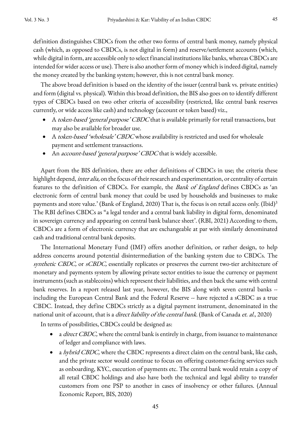definition distinguishes CBDCs from the other two forms of central bank money, namely physical cash (which, as opposed to CBDCs, is not digital in form) and reserve/settlement accounts (which, while digital in form, are accessible only to select financial institutions like banks, whereas CBDCs are intended for wider access or use). There is also another form of money which is indeed digital, namely the money created by the banking system; however, this is not central bank money.

The above broad definition is based on the identity of the issuer (central bank vs. private entities) and form (digital vs. physical). Within this broad definition, the BIS also goes on to identify different types of CBDCs based on two other criteria of accessibility (restricted, like central bank reserves currently, or wide access like cash) and technology (account or token based) viz.,

- A token-based 'general purpose' CBDC that is available primarily for retail transactions, but may also be available for broader use.
- A token-based 'wholesale' CBDC whose availability is restricted and used for wholesale payment and settlement transactions.
- An *account-based 'general purpose' CBDC* that is widely accessible.

Apart from the BIS definition, there are other definitions of CBDCs in use; the criteria these highlight depend, *inter alia*, on the focus of their research and experimentation, or centrality of certain features to the definition of CBDCs. For example, the *Bank of England* defines CBDCs as 'an electronic form of central bank money that could be used by households and businesses to make payments and store value.' (Bank of England, 2020) That is, the focus is on retail access only. (Ibid)<sup>3</sup> The RBI defines CBDCs as "a legal tender and a central bank liability in digital form, denominated in sovereign currency and appearing on central bank balance sheet'. (RBI, 2021) According to them, CBDCs are a form of electronic currency that are exchangeable at par with similarly denominated cash and traditional central bank deposits.

The International Monetary Fund (IMF) offers another definition, or rather design, to help address concerns around potential disintermediation of the banking system due to CBDCs. The synthetic CBDC, or sCBDC, essentially replicates or preserves the current two-tier architecture of monetary and payments system by allowing private sector entities to issue the currency or payment instruments (such as stablecoins) which represent their liabilities, and then back the same with central bank reserves. In a report released last year, however, the BIS along with seven central banks - including the European Central Bank and the Federal Reserve -- have rejected a sCBDC as a true CBDC. Instead, they define CBDCs strictly as a digital payment instrument, denominated in the national unit of account, that is a *direct liability of the central bank*. (Bank of Canada et. al., 2020)

In terms of possibilities, CBDCs could be designed as:

- a *direct CBDC*, where the central bank is entirely in charge, from issuance to maintenance of ledger and compliance with laws.
- a hybrid CBDC, where the CBDC represents a direct claim on the central bank, like cash, and the private sector would continue to focus on offering customer-facing services such as onboarding, KYC, execution of payments etc. The central bank would retain a copy of all retail CBDC holdings and also have both the technical and legal ability to transfer customers from one PSP to another in cases of insolvency or other failures. (Annual Economic Report, BIS, 2020)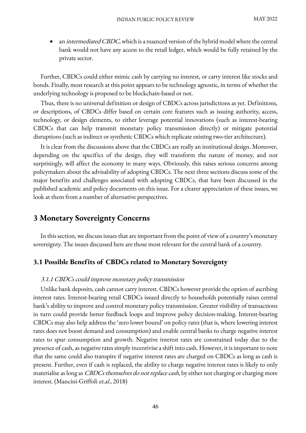an *intermediated CBDC,* which is a nuanced version of the hybrid model where the central bank would not have any access to the retail ledger, which would be fully retained by the private sector.

Further, CBDCs could either mimic cash by carrying no interest, or carry interest like stocks and bonds. Finally, most research at this point appears to be technology agnostic, in terms of whether the underlying technology is proposed to be blockchain-based or not.

Thus, there is no universal definition or design of CBDCs across jurisdictions as yet. Definitions, or descriptions, of CBDCs differ based on certain core features such as issuing authority, access, technology, or design elements, to either leverage potential innovations (such as interest-bearing CBDCs that can help transmit monetary policy transmission directly) or mitigate potential disruptions (such as indirect or synthetic CBDCs which replicate existing two-tier architecture).

It is clear from the discussions above that the CBDCs are really an institutional design. Moreover, depending on the specifics of the design, they will transform the nature of money, and not surprisingly, will affect the economy in many ways. Obviously, this raises serious concerns among policymakers about the advisability of adopting CBDCs. The next three sections discuss some of the major benefits and challenges associated with adopting CBDCs, that have been discussed in the published academic and policy documents on this issue. For a clearer appreciation of these issues, we look at them from a number of alternative perspectives.

# **3 Monetary Sovereignty Concerns**

In this section, we discuss issues that are important from the point of view of a country's monetary sovereignty. The issues discussed here are those most relevant for the central bank of a country.

#### **3.1 Possible Benefits of CBDCs related to Monetary Sovereignty**

#### 3.1.1 CBDCs could improve monetary policy transmission

Unlike bank deposits, cash cannot carry interest. CBDCs however provide the option of ascribing interest rates. Interest-bearing retail CBDCs issued directly to households potentially raises central bank's ability to improve and control monetary policy transmission. Greater visibility of transactions in turn could provide better feedback loops and improve policy decision-making. Interest-bearing CBDCs may also help address the 'zero lower bound' on policy rates (that is, where lowering interest rates does not boost demand and consumption) and enable central banks to charge negative interest rates to spur consumption and growth. Negative interest rates are constrained today due to the presence of cash, as negative rates simply incentivise a shift into cash. However, it is important to note that the same could also transpire if negative interest rates are charged on CBDCs as long as cash is present. Further, even if cash is replaced, the ability to charge negative interest rates is likely to only materialise as long as *CBDCs themselves do not replace cash*, by either not charging or charging more interest. (Mancini-Griffoli et.al., 2018)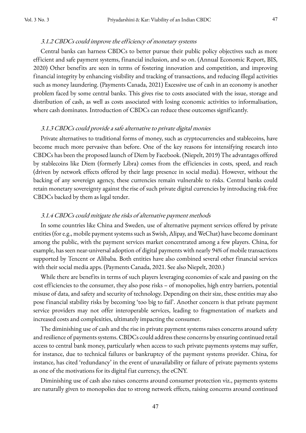Central banks can harness CBDCs to better pursue their public policy objectives such as more efficient and safe payment systems, financial inclusion, and so on. (Annual Economic Report, BIS, 2020) Other benefits are seen in terms of fostering innovation and competition, and improving financial integrity by enhancing visibility and tracking of transactions, and reducing illegal activities such as money laundering. (Payments Canada, 2021) Excessive use of cash in an economy is another problem faced by some central banks. This gives rise to costs associated with the issue, storage and distribution of cash, as well as costs associated with losing economic activities to informalisation, where cash dominates. Introduction of CBDCs can reduce these outcomes significantly.

#### 3.1.3 CBDCs could provide a safe alternative to private digital monies

Private alternatives to traditional forms of money, such as cryptocurrencies and stablecoins, have become much more pervasive than before. One of the key reasons for intensifying research into CBDCs has been the proposed launch of Diem by Facebook. (Niepelt, 2019) The advantages offered by stablecoins like Diem (formerly Libra) comes from the efficiencies in costs, speed, and reach (driven by network effects offered by their large presence in social media). However, without the backing of any sovereign agency, these currencies remain vulnerable to risks. Central banks could retain monetary sovereignty against the rise of such private digital currencies by introducing risk-free CBDCs backed by them as legal tender.

#### 3.1.4 CBDCs could mitigate the risks of alternative payment methods

In some countries like China and Sweden, use of alternative payment services offered by private entities (for e.g., mobile payment systems such as Swish, Alipay, and WeChat) have become dominant among the public, with the payment services market concentrated among a few players. China, for example, has seen near-universal adoption of digital payments with nearly 94% of mobile transactions supported by Tencent or Alibaba. Both entities have also combined several other financial services with their social media apps. (Payments Canada, 2021. See also Niepelt, 2020.)

While there are benefits in terms of such players leveraging economies of scale and passing on the cost efficiencies to the consumer, they also pose risks – of monopolies, high entry barriers, potential misuse of data, and safety and security of technology. Depending on their size, these entities may also pose financial stability risks by becoming 'too big to fail'. Another concern is that private payment service providers may not offer interoperable services, leading to fragmentation of markets and increased costs and complexities, ultimately impacting the consumer.

The diminishing use of cash and the rise in private payment systems raises concerns around safety and resilience of payments systems. CBDCs could address these concerns by ensuring continued retail access to central bank money, particularly when access to such private payments systems may suffer, for instance, due to technical failures or bankruptcy of the payment systems provider. China, for instance, has cited 'redundancy' in the event of unavailability or failure of private payments systems as one of the motivations for its digital fiat currency, the eCNY.

Diminishing use of cash also raises concerns around consumer protection viz., payments systems are naturally given to monopolies due to strong network effects, raising concerns around continued

47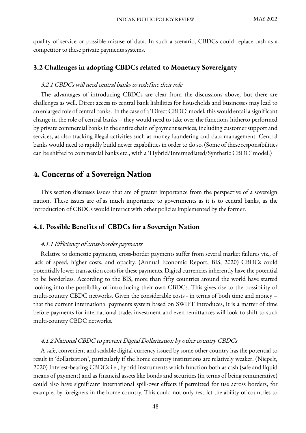quality of service or possible misuse of data. In such a scenario, CBDCs could replace cash as a competitor to these private payments systems.

#### **3.2 Challenges in adopting CBDCs related to Monetary Sovereignty**

#### 3.2.1 CBDCs will need central banks to redefine their role

The advantages of introducing CBDCs are clear from the discussions above, but there are challenges as well. Direct access to central bank liabilities for households and businesses may lead to an enlarged role of central banks. In the case of a 'Direct CBDC' model, this would entail a significant change in the role of central banks – they would need to take over the functions hitherto performed by private commercial banks in the entire chain of payment services, including customer support and services, as also tracking illegal activities such as money laundering and data management. Central banks would need to rapidly build newer capabilities in order to do so. (Some of these responsibilities can be shifted to commercial banks etc., with a 'Hybrid/Intermediated/Synthetic CBDC' model.)

# **4. Concerns of a Sovereign Nation**

This section discusses issues that are of greater importance from the perspective of a sovereign nation. These issues are of as much importance to governments as it is to central banks, as the introduction of CBDCs would interact with other policies implemented by the former.

#### **4.1. Possible Benefits of CBDCs for a Sovereign Nation**

#### 4.1.1 Efficiency of cross-border payments

Relative to domestic payments, cross-border payments suffer from several market failures viz., of lack of speed, higher costs, and opacity. (Annual Economic Report, BIS, 2020) CBDCs could potentially lower transaction costs for these payments. Digital currencies inherently have the potential to be borderless. According to the BIS, more than fifty countries around the world have started looking into the possibility of introducing their own CBDCs. This gives rise to the possibility of multi-country CBDC networks. Given the considerable costs - in terms of both time and money – that the current international payments system based on SWIFT introduces, it is a matter of time before payments for international trade, investment and even remittances will look to shift to such multi-country CBDC networks.

#### 4.1.2 National CBDC to prevent Digital Dollarization by other country CBDCs

A safe, convenient and scalable digital currency issued by some other country has the potential to result in 'dollarization', particularly if the home country institutions are relatively weaker. (Niepelt, 2020) Interest-bearing CBDCs i.e., hybrid instruments which function both as cash (safe and liquid means of payment) and as financial assets like bonds and securities (in terms of being remunerative) could also have significant international spill-over effects if permitted for use across borders, for example, by foreigners in the home country. This could not only restrict the ability of countries to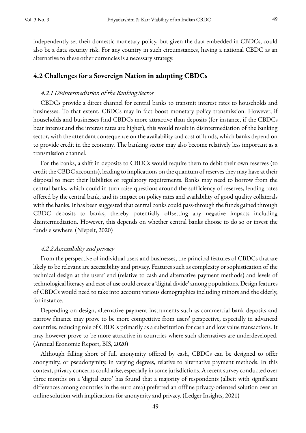independently set their domestic monetary policy, but given the data embedded in CBDCs, could also be a data security risk. For any country in such circumstances, having a national CBDC as an alternative to these other currencies is a necessary strategy.

#### **4.2 Challenges for a Sovereign Nation in adopting CBDCs**

#### 4.2.1 Disintermediation of the Banking Sector

CBDCs provide a direct channel for central banks to transmit interest rates to households and businesses. To that extent, CBDCs may in fact boost monetary policy transmission. However, if households and businesses find CBDCs more attractive than deposits (for instance, if the CBDCs bear interest and the interest rates are higher), this would result in disintermediation of the banking sector, with the attendant consequence on the availability and cost of funds, which banks depend on to provide credit in the economy. The banking sector may also become relatively less important as a transmission channel.

For the banks, a shift in deposits to CBDCs would require them to debit their own reserves (to credit the CBDC accounts), leading to implications on the quantum of reserves they may have at their disposal to meet their liabilities or regulatory requirements. Banks may need to borrow from the central banks, which could in turn raise questions around the sufficiency of reserves, lending rates offered by the central bank, and its impact on policy rates and availability of good quality collaterals with the banks. It has been suggested that central banks could pass-through the funds gained through CBDC deposits to banks, thereby potentially offsetting any negative impacts including disintermediation. However, this depends on whether central banks choose to do so or invest the funds elsewhere. (Niepelt, 2020)

#### 4.2.2 Accessibility and privacy

From the perspective of individual users and businesses, the principal features of CBDCs that are likely to be relevant are accessibility and privacy. Features such as complexity or sophistication of the technical design at the users' end (relative to cash and alternative payment methods) and levels of technological literacy and ease of use could create a 'digital divide'among populations. Design features of CBDCs would need to take into account various demographics including minors and the elderly, for instance.

Depending on design, alternative payment instruments such as commercial bank deposits and narrow finance may prove to be more competitive from users' perspective, especially in advanced countries, reducing role of CBDCs primarily as a substitution for cash and low value transactions. It may however prove to be more attractive in countries where such alternatives are underdeveloped. (Annual Economic Report, BIS, 2020)

Although falling short of full anonymity offered by cash, CBDCs can be designed to offer anonymity, or pseudonymity, in varying degrees, relative to alternative payment methods. In this context, privacy concerns could arise, especially in some jurisdictions. A recent survey conducted over three months on a 'digital euro' has found that a majority of respondents (albeit with significant differences among countries in the euro area) preferred an offline privacy-oriented solution over an online solution with implications for anonymity and privacy. (Ledger Insights, 2021)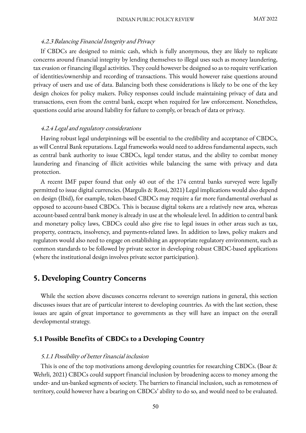#### 4.2.3 Balancing Financial Integrity and Privacy

If CBDCs are designed to mimic cash, which is fully anonymous, they are likely to replicate concerns around financial integrity by lending themselves to illegal uses such as money laundering, tax evasion or financing illegal activities. They could however be designed so as to require verification of identities/ownership and recording of transactions. This would however raise questions around privacy of users and use of data. Balancing both these considerations is likely to be one of the key design choices for policy makers. Policy responses could include maintaining privacy of data and transactions, even from the central bank, except when required for law enforcement. Nonetheless, questions could arise around liability for failure to comply, or breach of data or privacy.

#### 4.2.4 Legal and regulatory considerations

Having robust legal underpinnings will be essential to the credibility and acceptance of CBDCs, as will Central Bank reputations. Legal frameworks would need to address fundamental aspects, such as central bank authority to issue CBDCs, legal tender status, and the ability to combat money laundering and financing of illicit activities while balancing the same with privacy and data protection.

A recent IMF paper found that only 40 out of the 174 central banks surveyed were legally permitted to issue digital currencies. (Margulis & Rossi, 2021) Legal implications would also depend on design (Ibid), for example, token-based CBDCs may require a far more fundamental overhaul as opposed to account-based CBDCs. This is because digital tokens are a relatively new area, whereas account-based central bank money is already in use at the wholesale level. In addition to central bank and monetary policy laws, CBDCs could also give rise to legal issues in other areas such as tax, property, contracts, insolvency, and payments-related laws. In addition to laws, policy makers and regulators would also need to engage on establishing an appropriate regulatory environment, such as common standards to be followed by private sector in developing robust CBDC-based applications (where the institutional design involves private sector participation).

# **5. Developing Country Concerns**

While the section above discusses concerns relevant to sovereign nations in general, this section discusses issues that are of particular interest to developing countries. As with the last section, these issues are again of great importance to governments as they will have an impact on the overall developmental strategy.

#### **5.1 Possible Benefits of CBDCs to a Developing Country**

#### 5.1.1 Possibility of better financial inclusion

This is one of the top motivations among developing countries for researching CBDCs. (Boar & Wehrli, 2021) CBDCs could support financial inclusion by broadening access to money among the under- and un-banked segments of society. The barriers to financial inclusion, such as remoteness of territory, could however have a bearing on CBDCs' ability to do so, and would need to be evaluated.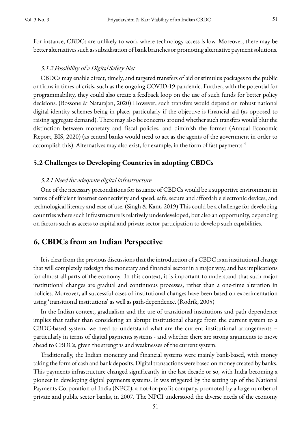For instance, CBDCs are unlikely to work where technology access is low. Moreover, there may be better alternatives such as subsidisation of bank branches or promoting alternative payment solutions.

#### 5.1.2 Possibility of a Digital Safety Net

CBDCs may enable direct, timely, and targeted transfers of aid or stimulus packages to the public or firms in times of crisis, such as the ongoing COVID-19 pandemic. Further, with the potential for programmability, they could also create a feedback loop on the use of such funds for better policy decisions. (Bossone & Natarajan, 2020) However, such transfers would depend on robust national digital identity schemes being in place, particularly if the objective is financial aid (as opposed to raising aggregate demand). There may also be concerns around whether such transfers would blur the distinction between monetary and fiscal policies, and diminish the former (Annual Economic Report, BIS, 2020) (as central banks would need to act as the agents of the government in order to accomplish this). Alternatives may also exist, for example, in the form of fast payments.<sup>4</sup>

#### **5.2 Challenges to Developing Countries in adopting CBDCs**

#### 5.2.1 Need for adequate digital infrastructure

One of the necessary preconditions for issuance of CBDCs would be a supportive environment in terms of efficient internet connectivity and speed; safe, secure and affordable electronic devices; and technological literacy and ease of use. (Singh & Kant, 2019) This could be a challenge for developing countries where such infrastructure is relatively underdeveloped, but also an opportunity, depending on factors such as access to capital and private sector participation to develop such capabilities.

### **6. CBDCs from an Indian Perspective**

It is clear from the previous discussions that the introduction of a CBDC is an institutional change that will completely redesign the monetary and financial sector in a major way, and has implications for almost all parts of the economy. In this context, it is important to understand that such major institutional changes are gradual and continuous processes, rather than a one-time alteration in policies. Moreover, all successful cases of institutional changes have been based on experimentation using 'transitional institutions' as well as path-dependence. (Rodrik, 2005)

In the Indian context, gradualism and the use of transitional institutions and path dependence implies that rather than considering an abrupt institutional change from the current system to a CBDC-based system, we need to understand what are the current institutional arrangements – particularly in terms of digital payments systems - and whether there are strong arguments to move ahead to CBDCs, given the strengths and weaknesses of the current system.

Traditionally, the Indian monetary and financial systems were mainly bank-based, with money taking the form of cash and bank deposits. Digital transactions were based on money created by banks. This payments infrastructure changed significantly in the last decade or so, with India becoming a pioneer in developing digital payments systems. It was triggered by the setting up of the National Payments Corporation of India (NPCI), a not-for-profit company, promoted by a large number of private and public sector banks, in 2007. The NPCI understood the diverse needs of the economy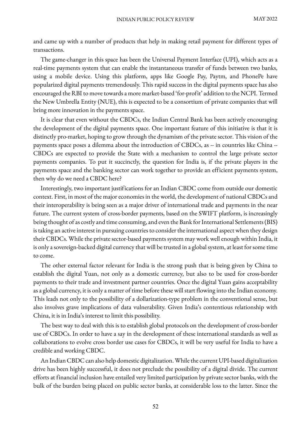and came up with a number of products that help in making retail payment for different types of transactions.

The game-changer in this space has been the Universal Payment Interface (UPI), which acts as a real-time payments system that can enable the instantaneous transfer of funds between two banks, using a mobile device. Using this platform, apps like Google Pay, Paytm, and PhonePe have popularized digital payments tremendously. This rapid success in the digital payments space has also encouraged the RBI to move towards a more market-based 'for-profit' addition to the NCPI. Termed the New Umbrella Entity (NUE), this is expected to be a consortium of private companies that will bring more innovation in the payments space.

It is clear that even without the CBDCs, the Indian Central Bank has been actively encouraging the development of the digital payments space. One important feature of this initiative is that it is distinctly pro-market, hoping to grow through the dynamism of the private sector. This vision of the payments space poses a dilemma about the introduction of CBDCs, as -- in countries like China -- CBDCs are expected to provide the State with a mechanism to control the large private sector payments companies. To put it succinctly, the question for India is, if the private players in the payments space and the banking sector can work together to provide an efficient payments system, then why do we need a CBDC here?

Interestingly, two important justifications for an Indian CBDC come from outside our domestic context. First, in most of the major economies in the world, the development of national CBDCs and their interoperability is being seen as a major driver of international trade and payments in the near future. The current system of cross-border payments, based on the SWIFT platform, is increasingly being thought of as costly and time consuming, and even the Bank for International Settlements(BIS) is taking an active interest in pursuing countries to consider the international aspect when they design their CBDCs. While the private sector-based payments system may work well enough within India, it is only a sovereign-backed digital currency that will be trusted in a global system, at least for some time to come.

The other external factor relevant for India is the strong push that is being given by China to establish the digital Yuan, not only as a domestic currency, but also to be used for cross-border payments to their trade and investment partner countries. Once the digital Yuan gains acceptability as a global currency, it is only a matter of time before these will start flowing into the Indian economy. This leads not only to the possibility of a dollarization-type problem in the conventional sense, but also involves grave implications of data vulnerability. Given India's contentious relationship with China, it is in India's interest to limit this possibility.

The best way to deal with this is to establish global protocols on the development of cross-border use of CBDCs. In order to have a say in the development of these international standards as well as collaborations to evolve cross border use cases for CBDCs, it will be very useful for India to have a credible and working CBDC.

An Indian CBDC can also help domestic digitalization. While the current UPI-based digitalization drive has been highly successful, it does not preclude the possibility of a digital divide. The current efforts at financial inclusion have entailed very limited participation by private sector banks, with the bulk of the burden being placed on public sector banks, at considerable loss to the latter. Since the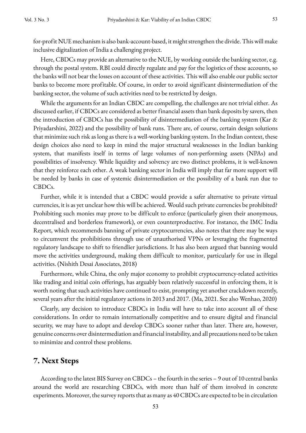Here, CBDCs may provide an alternative to the NUE, by working outside the banking sector, e.g. through the postal system. RBI could directly regulate and pay for the logistics of these accounts, so the banks will not bear the losses on account of these activities. This will also enable our public sector banks to become more profitable. Of course, in order to avoid significant disintermediation of the banking sector, the volume of such activities need to be restricted by design.

While the arguments for an Indian CBDC are compelling, the challenges are not trivial either. As discussed earlier, if CBDCs are considered as better financial assets than bank deposits by savers, then the introduction of CBDCs has the possibility of disintermediation of the banking system (Kar & Priyadarshini, 2022) and the possibility of bank runs. There are, of course, certain design solutions that minimize such risk as long as there is a well-working banking system. In the Indian context, these design choices also need to keep in mind the major structural weaknesses in the Indian banking system, that manifests itself in terms of large volumes of non-performing assets (NPAs) and possibilities of insolvency. While liquidity and solvency are two distinct problems, it is well-known that they reinforce each other. A weak banking sector in India will imply that far more support will be needed by banks in case of systemic disintermediation or the possibility of a bank run due to CBDCs.

Further, while it is intended that a CBDC would provide a safer alternative to private virtual currencies, it is as yet unclear how this will be achieved. Would such private currencies be prohibited? Prohibiting such monies may prove to be difficult to enforce (particularly given their anonymous, decentralised and borderless framework), or even counterproductive. For instance, the IMC India Report, which recommends banning of private cryptocurrencies, also notes that there may be ways to circumvent the prohibitions through use of unauthorised VPNs or leveraging the fragmented regulatory landscape to shift to friendlier jurisdictions. It has also been argued that banning would move the activities underground, making them difficult to monitor, particularly for use in illegal activities. (Nishith Desai Associates, 2018)

Furthermore, while China, the only major economy to prohibit cryptocurrency-related activities like trading and initial coin offerings, has arguably been relatively successful in enforcing them, it is worth noting that such activities have continued to exist, prompting yet another crackdown recently, several years after the initial regulatory actions in 2013 and 2017. (Ma, 2021. See also Wenhao, 2020)

Clearly, any decision to introduce CBDCs in India will have to take into account all of these considerations. In order to remain internationally competitive and to ensure digital and financial security, we may have to adopt and develop CBDCs sooner rather than later. There are, however, genuine concerns over disintermediation and financial instability, and all precautions need to be taken to minimize and control these problems.

# **7. Next Steps**

According to the latest BIS Survey on CBDCs – the fourth in the series – 9 out of 10 central banks around the world are researching CBDCs, with more than half of them involved in concrete experiments. Moreover, the survey reports that as many as 40 CBDCs are expected to be in circulation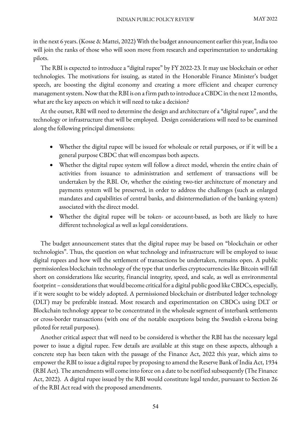in the next 6 years. (Kosse & Mattei, 2022) With the budget announcement earlier this year, India too will join the ranks of those who will soon move from research and experimentation to undertaking pilots.

The RBI is expected to introduce a "digital rupee" by FY 2022-23. It may use blockchain or other technologies. The motivations for issuing, as stated in the Honorable Finance Minister's budget speech, are boosting the digital economy and creating a more efficient and cheaper currency management system. Now that the RBI is on a firm path to introduce a CBDC in the next 12 months, what are the key aspects on which it will need to take a decision?

At the outset, RBI will need to determine the design and architecture of a "digital rupee", and the technology or infrastructure that will be employed. Design considerations will need to be examined along the following principal dimensions:

- Whether the digital rupee will be issued for wholesale or retail purposes, or if it will be a general purpose CBDC that will encompass both aspects.
- Whether the digital rupee system will follow a direct model, wherein the entire chain of activities from issuance to administration and settlement of transactions will be undertaken by the RBI. Or, whether the existing two-tier architecture of monetary and payments system will be preserved, in order to address the challenges (such as enlarged mandates and capabilities of central banks, and disintermediation of the banking system) associated with the direct model.
- Whether the digital rupee will be token- or account-based, as both are likely to have different technological as well as legal considerations.

The budget announcement states that the digital rupee may be based on "blockchain or other technologies". Thus, the question on what technology and infrastructure will be employed to issue digital rupees and how will the settlement of transactions be undertaken, remains open. A public permissionless blockchain technology of the type that underlies cryptocurrencies like Bitcoin will fall short on considerations like security, financial integrity, speed, and scale, as well as environmental footprint – considerations that would become critical for a digital public good like CBDCs, especially, if it were sought to be widely adopted. A permissioned blockchain or distributed ledger technology (DLT) may be preferable instead. Most research and experimentation on CBDCs using DLT or Blockchain technology appear to be concentrated in the wholesale segment of interbank settlements or cross-border transactions (with one of the notable exceptions being the Swedish e-krona being piloted for retail purposes).

Another critical aspect that will need to be considered is whether the RBI has the necessary legal power to issue a digital rupee. Few details are available at this stage on these aspects, although a concrete step has been taken with the passage of the Finance Act, 2022 this year, which aims to empower the RBI to issue a digital rupee by proposing to amend the Reserve Bank of India Act, 1934 (RBI Act). The amendments will come into force on a date to be notified subsequently (The Finance Act, 2022). A digital rupee issued by the RBI would constitute legal tender, pursuant to Section 26 of the RBI Act read with the proposed amendments.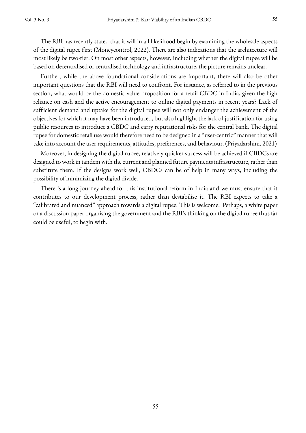The RBI has recently stated that it will in all likelihood begin by examining the wholesale aspects of the digital rupee first (Moneycontrol, 2022). There are also indications that the architecture will most likely be two-tier. On most other aspects, however, including whether the digital rupee will be based on decentralised or centralised technology and infrastructure, the picture remains unclear.

Further, while the above foundational considerations are important, there will also be other important questions that the RBI will need to confront. For instance, as referred to in the previous section, what would be the domestic value proposition for a retail CBDC in India, given the high reliance on cash and the active encouragement to online digital payments in recent years? Lack of sufficient demand and uptake for the digital rupee will not only endanger the achievement of the objectives for which it may have been introduced, but also highlight the lack of justification for using public resources to introduce a CBDC and carry reputational risks for the central bank. The digital rupee for domestic retail use would therefore need to be designed in a "user-centric" manner that will take into account the user requirements, attitudes, preferences, and behaviour. (Priyadarshini, 2021)

Moreover, in designing the digital rupee, relatively quicker success will be achieved if CBDCs are designed to work in tandem with the current and planned future payments infrastructure, rather than substitute them. If the designs work well, CBDCs can be of help in many ways, including the possibility of minimizing the digital divide.

There is a long journey ahead for this institutional reform in India and we must ensure that it contributes to our development process, rather than destabilise it. The RBI expects to take a "calibrated and nuanced" approach towards a digital rupee. This is welcome. Perhaps, a white paper or a discussion paper organising the government and the RBI's thinking on the digital rupee thus far could be useful, to begin with.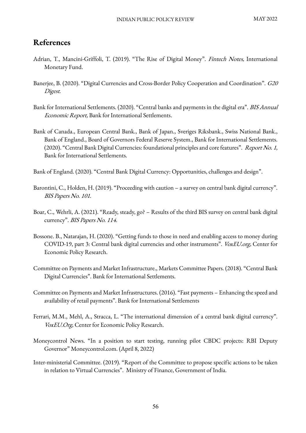# **References**

- Adrian, T., Mancini-Griffoli, T. (2019). "The Rise of Digital Money". Fintech Notes, International Monetary Fund.
- Banerjee, B. (2020). "Digital Currencies and Cross-Border Policy Cooperation and Coordination". G20 Digest.
- Bank for International Settlements. (2020). "Central banks and payments in the digital era". *BIS Annual* Economic Report, Bank for International Settlements.
- Bank of Canada., European Central Bank., Bank of Japan., Sveriges Riksbank., Swiss National Bank., Bank of England., Board of Governors Federal Reserve System., Bank for International Settlements. (2020). "Central Bank Digital Currencies: foundational principles and core features". Report No. 1, Bank for International Settlements.
- Bank of England. (2020). "Central Bank Digital Currency: Opportunities, challenges and design".
- Barontini, C., Holden, H. (2019). "Proceeding with caution a survey on central bank digital currency". BIS Papers No. 101.
- Boar, C., Wehrli, A. (2021). "Ready, steady, go? Results of the third BIS survey on central bank digital currency". BIS Papers No. 114.
- Bossone. B., Natarajan, H. (2020). "Getting funds to those in need and enabling access to money during COVID-19, part 3: Central bank digital currencies and other instruments". VoxEU.org, Center for Economic Policy Research.
- Committee on Payments and Market Infrastructure., Markets Committee Papers. (2018). "Central Bank Digital Currencies". Bank for International Settlements.
- Committee on Payments and Market Infrastructures. (2016). "Fast payments Enhancing the speed and availability of retail payments". Bank for International Settlements
- Ferrari, M.M., Mehl, A., Stracca, L. "The international dimension of a central bank digital currency". VoxEU.Org, Center for Economic Policy Research.
- Moneycontrol News. "In a position to start testing, running pilot CBDC projects: RBI Deputy Governor" Moneycontrol.com. (April 8, 2022)
- Inter-ministerial Committee. (2019). "Report of the Committee to propose specific actions to be taken in relation to Virtual Currencies". Ministry of Finance, Government of India.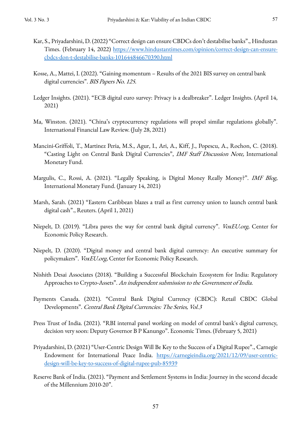- Kar, S., Priyadarshini, D. (2022) "Correct design can ensure CBDCs don't destabilise banks"., Hindustan Times. (February 14, 2022) https://www.hindustantimes.com/opinion/correct-design-can-ensurecbdcs-don-t-destabilise-banks-101644846670390.html
- Kosse, A., Mattei, I. (2022). "Gaining momentum Results of the 2021 BIS survey on central bank digital currencies". BIS Papers No. 125.
- Ledger Insights. (2021). "ECB digital euro survey: Privacy is a dealbreaker". Ledger Insights. (April 14, 2021)
- Ma, Winston. (2021). "China's cryptocurrency regulations will propel similar regulations globally". International Financial Law Review. (July 28, 2021)
- Mancini-Griffoli, T., Martinez Peria, M.S., Agur, I., Ari, A., Kiff, J., Popescu, A., Rochon, C. (2018). "Casting Light on Central Bank Digital Currencies", IMF Staff Discussion Note, International Monetary Fund.
- Margulis, C., Rossi, A. (2021). "Legally Speaking, is Digital Money Really Money?". IMF Blog, International Monetary Fund. (January 14, 2021)
- Marsh, Sarah. (2021) "Eastern Caribbean blazes a trail as first currency union to launch central bank digital cash"., Reuters. (April 1, 2021)
- Niepelt, D. (2019). "Libra paves the way for central bank digital currency". VoxEU.org, Center for Economic Policy Research.
- Niepelt, D. (2020). "Digital money and central bank digital currency: An executive summary for policymakers". VoxEU.org, Center for Economic Policy Research.
- Nishith Desai Associates (2018). "Building a Successful Blockchain Ecosystem for India: Regulatory Approaches to Crypto-Assets". An independent submission to the Government of India.
- Payments Canada. (2021). "Central Bank Digital Currency (CBDC): Retail CBDC Global Developments". Central Bank Digital Currencies: The Series, Vol.3
- Press Trust of India. (2021). "RBI internal panel working on model of central bank's digital currency, decision very soon: Deputy Governor B P Kanungo". Economic Times. (February 5, 2021)
- Priyadarshini, D. (2021) "User-Centric Design Will Be Key to the Success of a Digital Rupee"., Carnegie Endowment for International Peace India. https://carnegieindia.org/2021/12/09/user-centricdesign-will-be-key-to-success-of-digital-rupee-pub-85939
- Reserve Bank of India. (2021). "Payment and Settlement Systems in India: Journey in the second decade of the Millennium 2010-20".